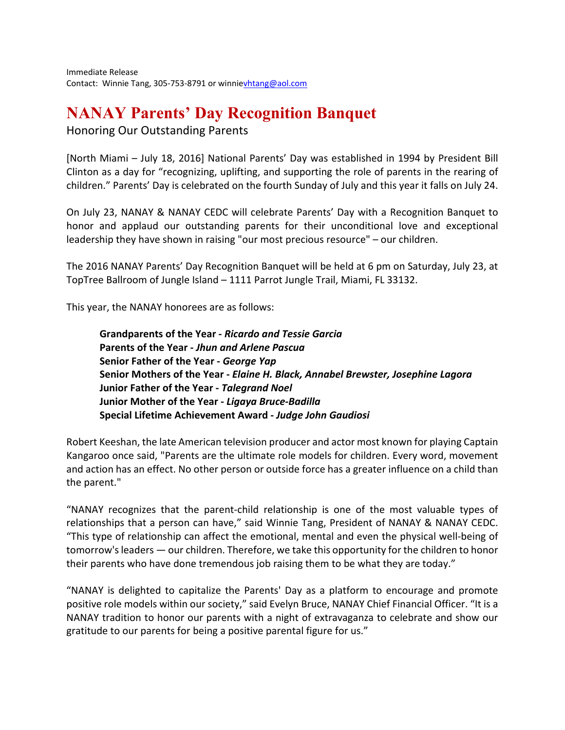Immediate Release Contact: Winnie Tang, 305-753-8791 or winni[evhtang@aol.com](mailto:vhtang@aol.com)

## **NANAY Parents' Day Recognition Banquet**

Honoring Our Outstanding Parents

[North Miami – July 18, 2016] National Parents' Day was established in 1994 by President Bill Clinton as a day for "recognizing, uplifting, and supporting the role of parents in the rearing of children." Parents' Day is celebrated on the fourth Sunday of July and this year it falls on July 24.

On July 23, NANAY & NANAY CEDC will celebrate Parents' Day with a Recognition Banquet to honor and applaud our outstanding parents for their unconditional love and exceptional leadership they have shown in raising "our most precious resource" – our children.

The 2016 NANAY Parents' Day Recognition Banquet will be held at 6 pm on Saturday, July 23, at TopTree Ballroom of Jungle Island – 1111 Parrot Jungle Trail, Miami, FL 33132.

This year, the NANAY honorees are as follows:

**Grandparents of the Year -** *Ricardo and Tessie Garcia* **Parents of the Year -** *Jhun and Arlene Pascua* **Senior Father of the Year -** *George Yap* **Senior Mothers of the Year -** *Elaine H. Black, Annabel Brewster, Josephine Lagora* **Junior Father of the Year -** *Talegrand Noel* **Junior Mother of the Year -** *Ligaya Bruce-Badilla* **Special Lifetime Achievement Award -** *Judge John Gaudiosi*

Robert Keeshan, the late American television producer and actor most known for playing Captain Kangaroo once said, "Parents are the ultimate role models for children. Every word, movement and action has an effect. No other person or outside force has a greater influence on a child than the parent."

"NANAY recognizes that the parent-child relationship is one of the most valuable types of relationships that a person can have," said Winnie Tang, President of NANAY & NANAY CEDC. "This type of relationship can affect the emotional, mental and even the physical well-being of tomorrow's leaders — our children. Therefore, we take this opportunity for the children to honor their parents who have done tremendous job raising them to be what they are today."

"NANAY is delighted to capitalize the Parents' Day as a platform to encourage and promote positive role models within our society," said Evelyn Bruce, NANAY Chief Financial Officer. "It is a NANAY tradition to honor our parents with a night of extravaganza to celebrate and show our gratitude to our parents for being a positive parental figure for us."